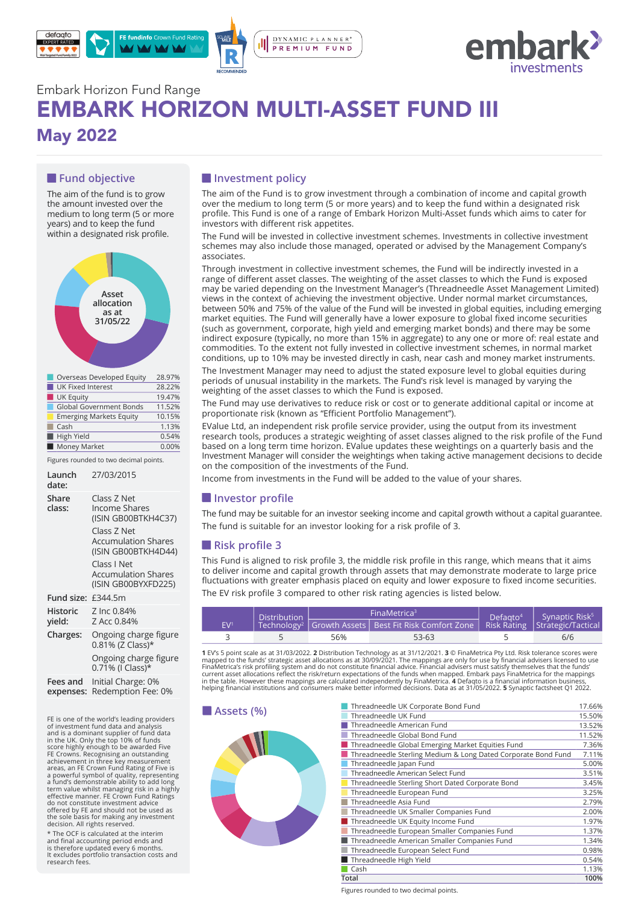



# Embark Horizon Fund Range EMBARK HORIZON MULTI-ASSET FUND III May 2022

## **Fund objective**

The aim of the fund is to grow the amount invested over the medium to long term (5 or more years) and to keep the fund within a designated risk profile.



| Overseas Developed Equity      | 28.97% |
|--------------------------------|--------|
| <b>UK Fixed Interest</b>       | 28.22% |
| <b>UK Equity</b>               | 19.47% |
| <b>Global Government Bonds</b> | 11.52% |
| <b>Emerging Markets Equity</b> | 10.15% |
| Cash                           | 1.13%  |
| High Yield                     | 0.54%  |
| Money Market                   | 0.00%  |

Figures rounded to two decimal points.

| Launch<br>date:       | 27/03/2015                                                                                                                                                                                  |
|-----------------------|---------------------------------------------------------------------------------------------------------------------------------------------------------------------------------------------|
| Share<br>class:       | Class Z Net<br>Income Shares<br>(ISIN GB00BTKH4C37)<br>Class 7 Net<br><b>Accumulation Shares</b><br>(ISIN GB00BTKH4D44)<br>Class I Net<br><b>Accumulation Shares</b><br>(ISIN GB00BYXFD225) |
| Fund size:            | £344.5m                                                                                                                                                                                     |
| Historic<br>yield:    | Z Inc 0.84%<br>Z Acc 0.84%                                                                                                                                                                  |
| Charges:              | Ongoing charge figure<br>0.81% (Z Class)*                                                                                                                                                   |
|                       | Ongoing charge figure<br>0.71% (I Class)*                                                                                                                                                   |
| Fees and<br>expenses: | Initial Charge: 0%<br>Redemption Fee: 0%                                                                                                                                                    |

**Example 18 ASSETS (%)**<br>FE is one of the world's leading providers<br>of investment fund data and analysis and is a dominant supplier of fund data<br>in the UK. Only the top 10% of funds<br>iscore highly enough to be awarded Five<br>FE Crowns. Recognising an outstanding<br>FE Crowns. Recognising an outstanding<br>areas, an FE Crown Fund Ratin do not constitute investment advice offered by FE and should not be used as the sole basis for making any investment decision. All rights reserved.

\* The OCF is calculated at the interim and final accounting period ends and is therefore updated every 6 months. It excludes portfolio transaction costs and research fees.

## $\blacksquare$  Investment policy

The aim of the Fund is to grow investment through a combination of income and capital growth over the medium to long term (5 or more years) and to keep the fund within a designated risk profile. This Fund is one of a range of Embark Horizon Multi-Asset funds which aims to cater for investors with different risk appetites.

The Fund will be invested in collective investment schemes. Investments in collective investment schemes may also include those managed, operated or advised by the Management Company's associates.

Through investment in collective investment schemes, the Fund will be indirectly invested in a range of different asset classes. The weighting of the asset classes to which the Fund is exposed may be varied depending on the Investment Manager's (Threadneedle Asset Management Limited) views in the context of achieving the investment objective. Under normal market circumstances, between 50% and 75% of the value of the Fund will be invested in global equities, including emerging market equities. The Fund will generally have a lower exposure to global fixed income securities (such as government, corporate, high yield and emerging market bonds) and there may be some indirect exposure (typically, no more than 15% in aggregate) to any one or more of: real estate and commodities. To the extent not fully invested in collective investment schemes, in normal market conditions, up to 10% may be invested directly in cash, near cash and money market instruments.

The Investment Manager may need to adjust the stated exposure level to global equities during periods of unusual instability in the markets. The Fund's risk level is managed by varying the weighting of the asset classes to which the Fund is exposed.

The Fund may use derivatives to reduce risk or cost or to generate additional capital or income at proportionate risk (known as "Efficient Portfolio Management").

EValue Ltd, an independent risk profile service provider, using the output from its investment research tools, produces a strategic weighting of asset classes aligned to the risk profile of the Fund based on a long term time horizon. EValue updates these weightings on a quarterly basis and the Investment Manager will consider the weightings when taking active management decisions to decide on the composition of the investments of the Fund.

Income from investments in the Fund will be added to the value of your shares.

#### $\blacksquare$  Investor profile

The fund may be suitable for an investor seeking income and capital growth without a capital guarantee. The fund is suitable for an investor looking for a risk profile of 3.

## **Risk profile 3**

This Fund is aligned to risk profile 3, the middle risk profile in this range, which means that it aims to deliver income and capital growth through assets that may demonstrate moderate to large price fluctuations with greater emphasis placed on equity and lower exposure to fixed income securities. The EV risk profile 3 compared to other risk rating agencies is listed below.

| <b>Distribution</b> |  | FinaMetrica <sup>3</sup> | $\overline{D}$ efagto <sup>4</sup>                                                                    | Synaptic Risk <sup>5</sup> |     |  |
|---------------------|--|--------------------------|-------------------------------------------------------------------------------------------------------|----------------------------|-----|--|
| EV <sup>1</sup>     |  |                          | Technology <sup>2</sup> Growth Assets   Best Fit Risk Comfort Zone   Risk Rating   Strategic/Tactical |                            |     |  |
|                     |  | 56%                      | 53-63                                                                                                 |                            | 6/6 |  |

1 EV's 5 point scale as at 31/03/2022. **2** Distribution Technology as at 31/12/2021. 3 © FinaMetrica Pty Ltd. Risk tolerance scores were mapped to the funds' strategic asset allocations as at 30/09/2021. The mappings are o



| Threadneedle UK Corporate Bond Fund                           | 17.66% |
|---------------------------------------------------------------|--------|
| Threadneedle UK Fund                                          | 15.50% |
| Threadneedle American Fund                                    | 13.52% |
| Threadneedle Global Bond Fund                                 | 11.52% |
| Threadneedle Global Emerging Market Equities Fund             | 7.36%  |
| Threadneedle Sterling Medium & Long Dated Corporate Bond Fund | 7.11%  |
| Threadneedle Japan Fund                                       | 5.00%  |
| Threadneedle American Select Fund                             | 3.51%  |
| Threadneedle Sterling Short Dated Corporate Bond              | 3.45%  |
| Threadneedle European Fund                                    | 3.25%  |
| Threadneedle Asia Fund                                        | 2.79%  |
| Threadneedle UK Smaller Companies Fund                        | 2.00%  |
| Threadneedle UK Equity Income Fund                            | 1.97%  |
| Threadneedle European Smaller Companies Fund                  | 1.37%  |
| Threadneedle American Smaller Companies Fund                  | 1.34%  |
| Threadneedle European Select Fund                             | 0.98%  |
| Threadneedle High Yield                                       | 0.54%  |
| Cash                                                          | 1.13%  |
| Total                                                         | 100%   |

Figures rounded to two decimal points.